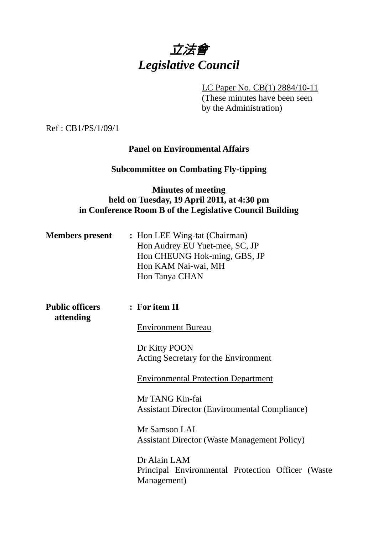

LC Paper No. CB(1) 2884/10-11

(These minutes have been seen by the Administration)

Ref : CB1/PS/1/09/1

## **Panel on Environmental Affairs**

#### **Subcommittee on Combating Fly-tipping**

## **Minutes of meeting held on Tuesday, 19 April 2011, at 4:30 pm in Conference Room B of the Legislative Council Building**

| <b>Members present</b> | : Hon LEE Wing-tat (Chairman)  |
|------------------------|--------------------------------|
|                        | Hon Audrey EU Yuet-mee, SC, JP |
|                        | Hon CHEUNG Hok-ming, GBS, JP   |
|                        | Hon KAM Nai-wai, MH            |
|                        | Hon Tanya CHAN                 |

**Public officers : For item II attending**

Environment Bureau

Dr Kitty POON Acting Secretary for the Environment

Environmental Protection Department

Mr TANG Kin-fai Assistant Director (Environmental Compliance)

Mr Samson LAI Assistant Director (Waste Management Policy)

Dr Alain LAM Principal Environmental Protection Officer (Waste Management)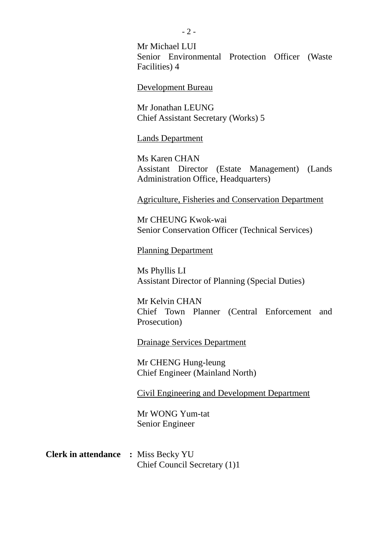Mr Michael LUI Senior Environmental Protection Officer (Waste Facilities) 4

Development Bureau

Mr Jonathan LEUNG Chief Assistant Secretary (Works) 5

Lands Department

Ms Karen CHAN Assistant Director (Estate Management) (Lands Administration Office, Headquarters)

Agriculture, Fisheries and Conservation Department

Mr CHEUNG Kwok-wai Senior Conservation Officer (Technical Services)

Planning Department

Ms Phyllis LI Assistant Director of Planning (Special Duties)

Mr Kelvin CHAN Chief Town Planner (Central Enforcement and Prosecution)

Drainage Services Department

Mr CHENG Hung-leung Chief Engineer (Mainland North)

Civil Engineering and Development Department

Mr WONG Yum-tat Senior Engineer

## **Clerk in attendance :** Miss Becky YU Chief Council Secretary (1)1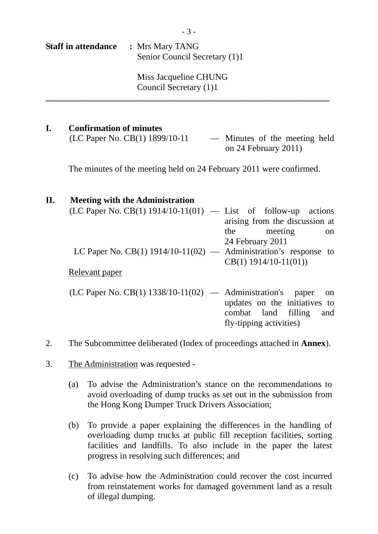| <b>Staff in attendance</b> | : Mrs Mary TANG               |
|----------------------------|-------------------------------|
|                            | Senior Council Secretary (1)1 |

 Miss Jacqueline CHUNG Council Secretary (1)1

**\_\_\_\_\_\_\_\_\_\_\_\_\_\_\_\_\_\_\_\_\_\_\_\_\_\_\_\_\_\_\_\_\_\_\_\_\_\_\_\_\_\_\_\_\_\_\_\_\_\_\_\_\_\_\_\_\_\_\_\_\_\_\_\_** 

## **I. Confirmation of minutes**   $(LC$  Paper No.  $CB(1)$  1899/10-11 — Minutes of the meeting held on 24 February 2011)

The minutes of the meeting held on 24 February 2011 were confirmed.

## **II. Meeting with the Administration**  (LC Paper No. CB(1)  $1914/10-11(01)$  — List of follow-up actions arising from the discussion at the meeting on 24 February 2011 LC Paper No. CB(1)  $1914/10-11(02)$  — Administration's response to CB(1) 1914/10-11(01)) Relevant paper  $(LC$  Paper No.  $CB(1)$  1338/10-11(02) — Administration's paper on updates on the initiatives to combat land filling and fly-tipping activities)

- 2. The Subcommittee deliberated (Index of proceedings attached in **Annex**).
- 3. The Administration was requested
	- (a) To advise the Administration's stance on the recommendations to avoid overloading of dump trucks as set out in the submission from the Hong Kong Dumper Truck Drivers Association;
	- (b) To provide a paper explaining the differences in the handling of overloading dump trucks at public fill reception facilities, sorting facilities and landfills. To also include in the paper the latest progress in resolving such differences; and
	- (c) To advise how the Administration could recover the cost incurred from reinstatement works for damaged government land as a result of illegal dumping.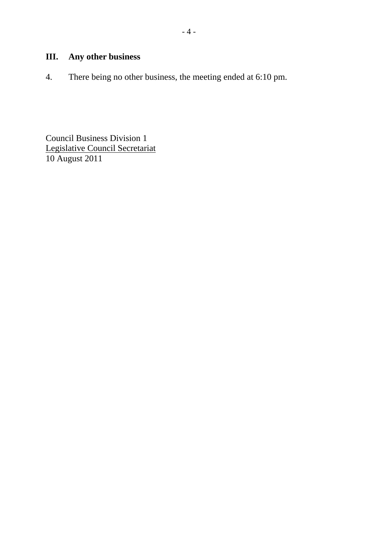# **III. Any other business**

4. There being no other business, the meeting ended at 6:10 pm.

Council Business Division 1 Legislative Council Secretariat 10 August 2011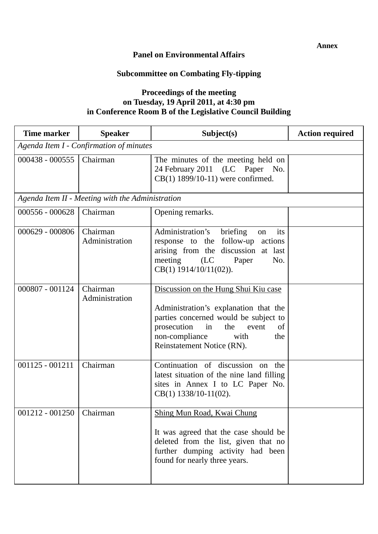## **Panel on Environmental Affairs**

## **Subcommittee on Combating Fly-tipping**

## **Proceedings of the meeting on Tuesday, 19 April 2011, at 4:30 pm in Conference Room B of the Legislative Council Building**

| Time marker       | <b>Speaker</b>                                   | Subject(s)                                                                                                                                                                                                                       | <b>Action required</b> |  |
|-------------------|--------------------------------------------------|----------------------------------------------------------------------------------------------------------------------------------------------------------------------------------------------------------------------------------|------------------------|--|
|                   | Agenda Item I - Confirmation of minutes          |                                                                                                                                                                                                                                  |                        |  |
| $000438 - 000555$ | Chairman                                         | The minutes of the meeting held on<br>24 February 2011 (LC Paper No.<br>CB(1) 1899/10-11) were confirmed.                                                                                                                        |                        |  |
|                   | Agenda Item II - Meeting with the Administration |                                                                                                                                                                                                                                  |                        |  |
| 000556 - 000628   | Chairman                                         | Opening remarks.                                                                                                                                                                                                                 |                        |  |
| 000629 - 000806   | Chairman<br>Administration                       | Administration's<br>its<br>briefing<br>on<br>response to the follow-up actions<br>arising from the discussion at last<br>meeting (LC Paper<br>No.<br>$CB(1) 1914/10/11(02)$ ).                                                   |                        |  |
| 000807 - 001124   | Chairman<br>Administration                       | Discussion on the Hung Shui Kiu case<br>Administration's explanation that the<br>parties concerned would be subject to<br>prosecution<br>the<br>in<br>event<br>of<br>non-compliance<br>with<br>the<br>Reinstatement Notice (RN). |                        |  |
| $001125 - 001211$ | Chairman                                         | Continuation of discussion on the<br>latest situation of the nine land filling<br>sites in Annex I to LC Paper No.<br>$CB(1)$ 1338/10-11(02).                                                                                    |                        |  |
| $001212 - 001250$ | Chairman                                         | Shing Mun Road, Kwai Chung<br>It was agreed that the case should be<br>deleted from the list, given that no<br>further dumping activity had been<br>found for nearly three years.                                                |                        |  |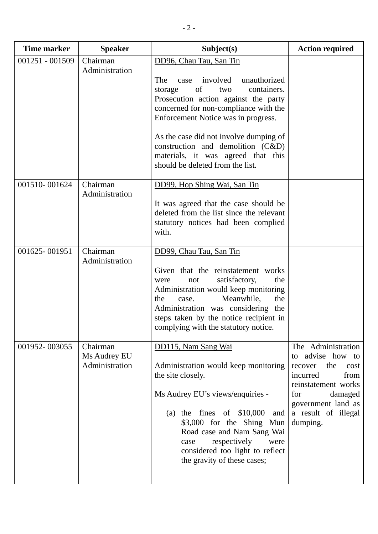| <b>Time marker</b> | <b>Speaker</b>                             | Subject(s)                                                                                                                                                                                                                                                                                                                                                                                   | <b>Action required</b>                                                                                                                                                                    |
|--------------------|--------------------------------------------|----------------------------------------------------------------------------------------------------------------------------------------------------------------------------------------------------------------------------------------------------------------------------------------------------------------------------------------------------------------------------------------------|-------------------------------------------------------------------------------------------------------------------------------------------------------------------------------------------|
| 001251 - 001509    | Chairman<br>Administration                 | DD96, Chau Tau, San Tin<br>involved<br>unauthorized<br>The<br>case<br>of<br>containers.<br>two<br>storage<br>Prosecution action against the party<br>concerned for non-compliance with the<br>Enforcement Notice was in progress.<br>As the case did not involve dumping of<br>construction and demolition $(C&D)$<br>materials, it was agreed that this<br>should be deleted from the list. |                                                                                                                                                                                           |
| 001510-001624      | Chairman<br>Administration                 | DD99, Hop Shing Wai, San Tin<br>It was agreed that the case should be<br>deleted from the list since the relevant<br>statutory notices had been complied<br>with.                                                                                                                                                                                                                            |                                                                                                                                                                                           |
| 001625-001951      | Chairman<br>Administration                 | DD99, Chau Tau, San Tin<br>Given that the reinstatement works<br>satisfactory,<br>the<br>not<br>were<br>Administration would keep monitoring<br>Meanwhile,<br>the<br>the<br>case.<br>Administration was considering the<br>steps taken by the notice recipient in<br>complying with the statutory notice.                                                                                    |                                                                                                                                                                                           |
| 001952-003055      | Chairman<br>Ms Audrey EU<br>Administration | DD115, Nam Sang Wai<br>Administration would keep monitoring<br>the site closely.<br>Ms Audrey EU's views/enquiries -<br>(a) the fines of $$10,000$<br>and<br>\$3,000 for the Shing Mun<br>Road case and Nam Sang Wai<br>respectively<br>were<br>case<br>considered too light to reflect<br>the gravity of these cases;                                                                       | The Administration<br>advise how to<br>to<br>the<br>cost<br>recover<br>from<br>incurred<br>reinstatement works<br>for<br>damaged<br>government land as<br>a result of illegal<br>dumping. |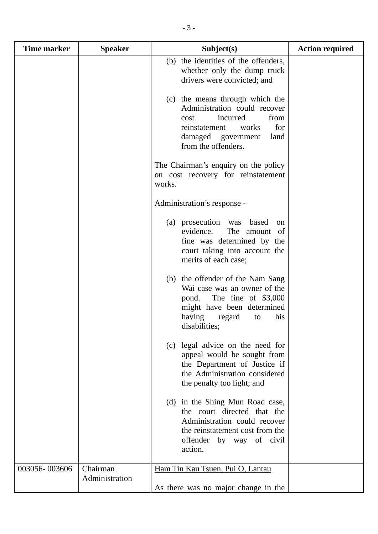| <b>Time marker</b> | <b>Speaker</b>             | Subject(s)                                                                                                                                                                        | <b>Action required</b> |
|--------------------|----------------------------|-----------------------------------------------------------------------------------------------------------------------------------------------------------------------------------|------------------------|
|                    |                            | (b) the identities of the offenders,<br>whether only the dump truck<br>drivers were convicted; and                                                                                |                        |
|                    |                            | (c) the means through which the<br>Administration could recover<br>from<br>incurred<br>cost<br>for<br>reinstatement<br>works<br>damaged government<br>land<br>from the offenders. |                        |
|                    |                            | The Chairman's enquiry on the policy<br>on cost recovery for reinstatement<br>works.                                                                                              |                        |
|                    |                            | Administration's response -                                                                                                                                                       |                        |
|                    |                            | (a) prosecution was based<br>on<br>The amount of<br>evidence.<br>fine was determined by the<br>court taking into account the<br>merits of each case;                              |                        |
|                    |                            | (b) the offender of the Nam Sang<br>Wai case was an owner of the<br>pond. The fine of \$3,000<br>might have been determined<br>his<br>having<br>regard<br>to<br>disabilities;     |                        |
|                    |                            | (c) legal advice on the need for<br>appeal would be sought from<br>the Department of Justice if<br>the Administration considered<br>the penalty too light; and                    |                        |
|                    |                            | (d) in the Shing Mun Road case,<br>the court directed that the<br>Administration could recover<br>the reinstatement cost from the<br>offender by way of civil<br>action.          |                        |
| 003056-003606      | Chairman<br>Administration | Ham Tin Kau Tsuen, Pui O, Lantau<br>As there was no major change in the                                                                                                           |                        |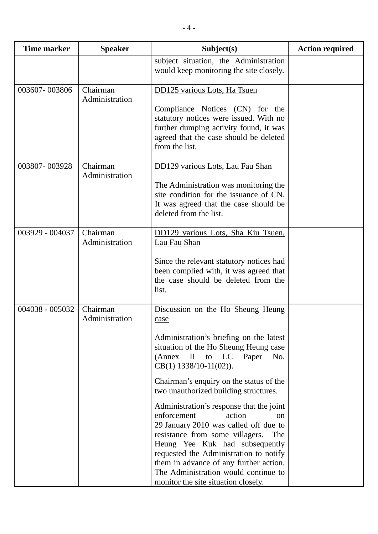| <b>Time marker</b> | <b>Speaker</b>             | Subject(s)                                                                                                                                                                                                                                                                                                                                                                                                                                                                                                                                                                                                                                                  | <b>Action required</b> |
|--------------------|----------------------------|-------------------------------------------------------------------------------------------------------------------------------------------------------------------------------------------------------------------------------------------------------------------------------------------------------------------------------------------------------------------------------------------------------------------------------------------------------------------------------------------------------------------------------------------------------------------------------------------------------------------------------------------------------------|------------------------|
|                    |                            | subject situation, the Administration<br>would keep monitoring the site closely.                                                                                                                                                                                                                                                                                                                                                                                                                                                                                                                                                                            |                        |
| 003607-003806      | Chairman<br>Administration | DD125 various Lots, Ha Tsuen<br>Compliance Notices (CN) for the<br>statutory notices were issued. With no<br>further dumping activity found, it was<br>agreed that the case should be deleted<br>from the list.                                                                                                                                                                                                                                                                                                                                                                                                                                             |                        |
| 003807-003928      | Chairman<br>Administration | DD129 various Lots, Lau Fau Shan<br>The Administration was monitoring the<br>site condition for the issuance of CN.<br>It was agreed that the case should be<br>deleted from the list.                                                                                                                                                                                                                                                                                                                                                                                                                                                                      |                        |
| 003929 - 004037    | Chairman<br>Administration | DD129 various Lots, Sha Kiu Tsuen,<br>Lau Fau Shan<br>Since the relevant statutory notices had<br>been complied with, it was agreed that<br>the case should be deleted from the<br>list.                                                                                                                                                                                                                                                                                                                                                                                                                                                                    |                        |
| 004038 - 005032    | Chairman<br>Administration | Discussion on the Ho Sheung Heung<br>case<br>Administration's briefing on the latest<br>situation of the Ho Sheung Heung case<br>(Annex II to LC Paper<br>No.<br>$CB(1)$ 1338/10-11(02)).<br>Chairman's enquiry on the status of the<br>two unauthorized building structures.<br>Administration's response that the joint<br>enforcement<br>action<br><sub>on</sub><br>29 January 2010 was called off due to<br>resistance from some villagers.<br>The<br>Heung Yee Kuk had subsequently<br>requested the Administration to notify<br>them in advance of any further action.<br>The Administration would continue to<br>monitor the site situation closely. |                        |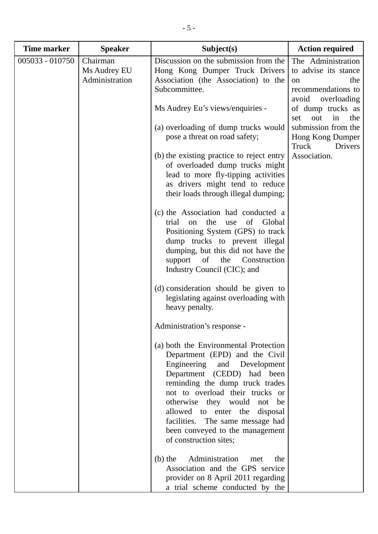| <b>Time marker</b> | <b>Speaker</b>                             | Subject(s)                                                                                                                                                                                                                                                                                                                                                                     | <b>Action required</b>                                                                                |
|--------------------|--------------------------------------------|--------------------------------------------------------------------------------------------------------------------------------------------------------------------------------------------------------------------------------------------------------------------------------------------------------------------------------------------------------------------------------|-------------------------------------------------------------------------------------------------------|
| $005033 - 010750$  | Chairman<br>Ms Audrey EU<br>Administration | Discussion on the submission from the<br>Hong Kong Dumper Truck Drivers<br>Association (the Association) to the<br>Subcommittee.                                                                                                                                                                                                                                               | The Administration<br>to advise its stance<br>the<br>on<br>recommendations to<br>avoid<br>overloading |
|                    |                                            | Ms Audrey Eu's views/enquiries -                                                                                                                                                                                                                                                                                                                                               | of dump trucks as<br>in<br>out<br>the<br>set                                                          |
|                    |                                            | (a) overloading of dump trucks would<br>pose a threat on road safety;                                                                                                                                                                                                                                                                                                          | submission from the<br>Hong Kong Dumper<br>Truck<br>Drivers                                           |
|                    |                                            | (b) the existing practice to reject entry<br>of overloaded dump trucks might<br>lead to more fly-tipping activities<br>as drivers might tend to reduce<br>their loads through illegal dumping;                                                                                                                                                                                 | Association.                                                                                          |
|                    |                                            | (c) the Association had conducted a<br>trial<br>the<br>of<br>Global<br>use<br>on<br>Positioning System (GPS) to track<br>dump trucks to prevent illegal<br>dumping, but this did not have the<br>of<br>the<br>Construction<br>support<br>Industry Council (CIC); and                                                                                                           |                                                                                                       |
|                    |                                            | (d) consideration should be given to<br>legislating against overloading with<br>heavy penalty.                                                                                                                                                                                                                                                                                 |                                                                                                       |
|                    |                                            | Administration's response -                                                                                                                                                                                                                                                                                                                                                    |                                                                                                       |
|                    |                                            | (a) both the Environmental Protection<br>Department (EPD) and the Civil<br>Engineering<br>and Development<br>Department (CEDD) had been<br>reminding the dump truck trades<br>not to overload their trucks or<br>otherwise they would not be<br>allowed to enter the disposal<br>facilities. The same message had<br>been conveyed to the management<br>of construction sites; |                                                                                                       |
|                    |                                            | Administration<br>$(b)$ the<br>the<br>met<br>Association and the GPS service<br>provider on 8 April 2011 regarding<br>a trial scheme conducted by the                                                                                                                                                                                                                          |                                                                                                       |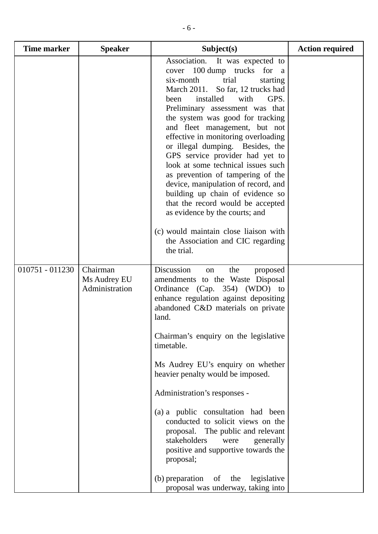| <b>Time marker</b> | <b>Speaker</b>                             | Subject(s)                                                                                                                                                                                                                                                                                                                                                                                                                                                                                                                                                                                                                                                                                                                | <b>Action required</b> |
|--------------------|--------------------------------------------|---------------------------------------------------------------------------------------------------------------------------------------------------------------------------------------------------------------------------------------------------------------------------------------------------------------------------------------------------------------------------------------------------------------------------------------------------------------------------------------------------------------------------------------------------------------------------------------------------------------------------------------------------------------------------------------------------------------------------|------------------------|
|                    |                                            | Association. It was expected to<br>cover 100 dump trucks for a<br>six-month<br>trial<br>starting<br>March 2011. So far, 12 trucks had<br>installed<br>GPS.<br>been<br>with<br>Preliminary assessment was that<br>the system was good for tracking<br>and fleet management, but not<br>effective in monitoring overloading<br>or illegal dumping. Besides, the<br>GPS service provider had yet to<br>look at some technical issues such<br>as prevention of tampering of the<br>device, manipulation of record, and<br>building up chain of evidence so<br>that the record would be accepted<br>as evidence by the courts; and<br>(c) would maintain close liaison with<br>the Association and CIC regarding<br>the trial. |                        |
|                    |                                            |                                                                                                                                                                                                                                                                                                                                                                                                                                                                                                                                                                                                                                                                                                                           |                        |
| 010751 - 011230    | Chairman<br>Ms Audrey EU<br>Administration | Discussion<br>the<br>proposed<br>on<br>amendments to the Waste Disposal<br>Ordinance (Cap. 354) (WDO) to<br>enhance regulation against depositing<br>abandoned C&D materials on private<br>land.<br>Chairman's enquiry on the legislative<br>timetable.<br>Ms Audrey EU's enquiry on whether<br>heavier penalty would be imposed.<br>Administration's responses -<br>(a) a public consultation had been<br>conducted to solicit views on the<br>proposal. The public and relevant<br>stakeholders<br>generally<br>were<br>positive and supportive towards the<br>proposal;                                                                                                                                                |                        |
|                    |                                            | (b) preparation<br>of the<br>legislative<br>proposal was underway, taking into                                                                                                                                                                                                                                                                                                                                                                                                                                                                                                                                                                                                                                            |                        |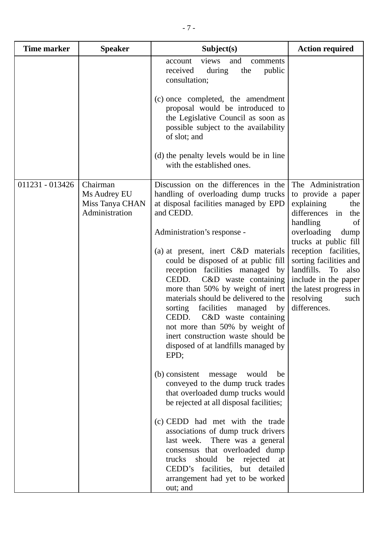| <b>Time marker</b> | <b>Speaker</b>                                                | Subject(s)                                                                                                                                                                                                                                                                                                                                                                                                                                                                                                                                                                                                                                                                                                                                                                                                                                                                                                                                                                                                                        | <b>Action required</b>                                                                                                                                                                                                                                                                                                            |
|--------------------|---------------------------------------------------------------|-----------------------------------------------------------------------------------------------------------------------------------------------------------------------------------------------------------------------------------------------------------------------------------------------------------------------------------------------------------------------------------------------------------------------------------------------------------------------------------------------------------------------------------------------------------------------------------------------------------------------------------------------------------------------------------------------------------------------------------------------------------------------------------------------------------------------------------------------------------------------------------------------------------------------------------------------------------------------------------------------------------------------------------|-----------------------------------------------------------------------------------------------------------------------------------------------------------------------------------------------------------------------------------------------------------------------------------------------------------------------------------|
|                    |                                                               | and<br>views<br>account<br>comments<br>received<br>during<br>the<br>public<br>consultation;<br>(c) once completed, the amendment                                                                                                                                                                                                                                                                                                                                                                                                                                                                                                                                                                                                                                                                                                                                                                                                                                                                                                  |                                                                                                                                                                                                                                                                                                                                   |
|                    |                                                               | proposal would be introduced to<br>the Legislative Council as soon as<br>possible subject to the availability<br>of slot; and                                                                                                                                                                                                                                                                                                                                                                                                                                                                                                                                                                                                                                                                                                                                                                                                                                                                                                     |                                                                                                                                                                                                                                                                                                                                   |
|                    |                                                               | (d) the penalty levels would be in line<br>with the established ones.                                                                                                                                                                                                                                                                                                                                                                                                                                                                                                                                                                                                                                                                                                                                                                                                                                                                                                                                                             |                                                                                                                                                                                                                                                                                                                                   |
| 011231 - 013426    | Chairman<br>Ms Audrey EU<br>Miss Tanya CHAN<br>Administration | Discussion on the differences in the<br>handling of overloading dump trucks<br>at disposal facilities managed by EPD<br>and CEDD.<br>Administration's response -<br>(a) at present, inert C&D materials<br>could be disposed of at public fill<br>reception facilities managed by<br>CEDD.<br>C&D waste containing<br>more than 50% by weight of inert<br>materials should be delivered to the<br>facilities<br>sorting<br>managed<br>by<br>CEDD.<br>C&D waste containing<br>not more than 50% by weight of<br>inert construction waste should be<br>disposed of at landfills managed by<br>EPD;<br>(b) consistent<br>message<br>would<br>be<br>conveyed to the dump truck trades<br>that overloaded dump trucks would<br>be rejected at all disposal facilities;<br>(c) CEDD had met with the trade<br>associations of dump truck drivers<br>last week. There was a general<br>consensus that overloaded dump<br>trucks should be rejected at<br>CEDD's facilities, but detailed<br>arrangement had yet to be worked<br>out; and | The Administration<br>to provide a paper<br>explaining<br>the<br>in<br>differences<br>the<br>handling<br>of<br>overloading<br>dump<br>trucks at public fill<br>reception facilities,<br>sorting facilities and<br>landfills.<br>also<br>To<br>include in the paper<br>the latest progress in<br>resolving<br>such<br>differences. |